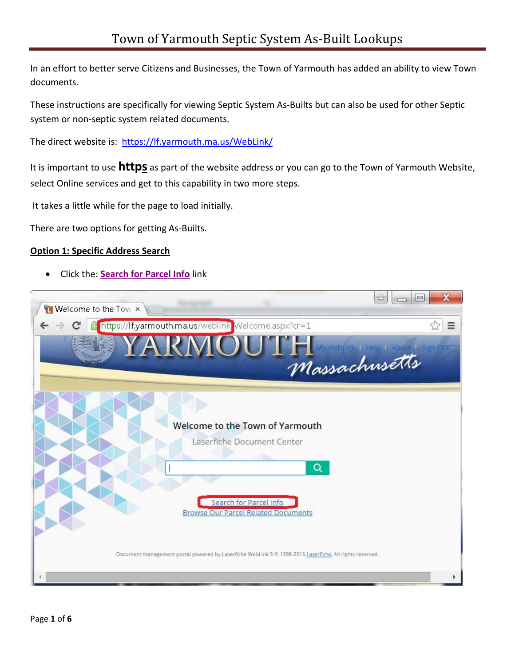In an effort to better serve Citizens and Businesses, the Town of Yarmouth has added an ability to view Town documents.

These instructions are specifically for viewing Septic System As-Builts but can also be used for other Septic system or non-septic system related documents.

The direct website is: <https://lf.yarmouth.ma.us/WebLink/>

It is important to use **https** as part of the website address or you can go to the Town of Yarmouth Website, select Online services and get to this capability in two more steps.

It takes a little while for the page to load initially.

There are two options for getting As-Builts.

## **Option 1: Specific Address Search**

• Click the: **Search for [Parcel Info](https://lf.yarmouth.ma.us/weblink/CustomSearch.aspx?SearchName=SearchforParcelInfo)** link

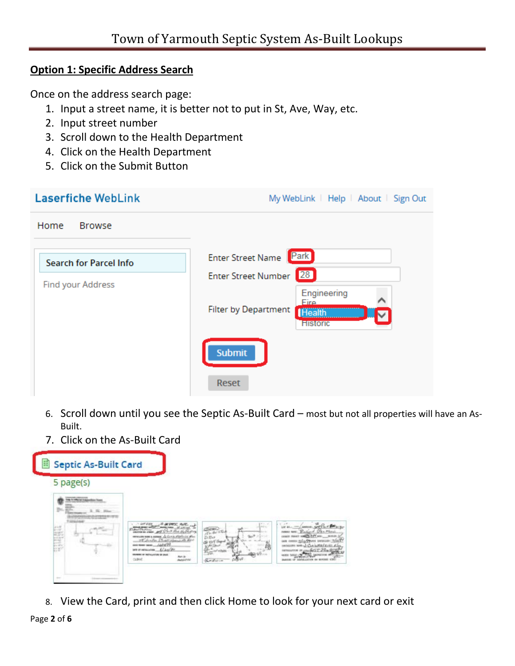## **Option 1: Specific Address Search**

Once on the address search page:

- 1. Input a street name, it is better not to put in St, Ave, Way, etc.
- 2. Input street number
- 3. Scroll down to the Health Department
- 4. Click on the Health Department
- 5. Click on the Submit Button

| <b>Laserfiche WebLink</b>     | My WebLink   Help   About   Sign Out                                                   |  |  |  |  |
|-------------------------------|----------------------------------------------------------------------------------------|--|--|--|--|
| Home<br><b>Browse</b>         |                                                                                        |  |  |  |  |
| <b>Search for Parcel Info</b> | Park<br><b>Enter Street Name</b>                                                       |  |  |  |  |
| Find your Address             | 28<br><b>Enter Street Number</b>                                                       |  |  |  |  |
|                               | Engineering<br>Fire<br><b>Filter by Department</b><br><b>Health</b><br><b>Historic</b> |  |  |  |  |
|                               | <b>Submit</b>                                                                          |  |  |  |  |
|                               | Reset                                                                                  |  |  |  |  |

- 6. Scroll down until you see the Septic As-Built Card most but not all properties will have an As-Built.
- 7. Click on the As-Built Card



8. View the Card, print and then click Home to look for your next card or exit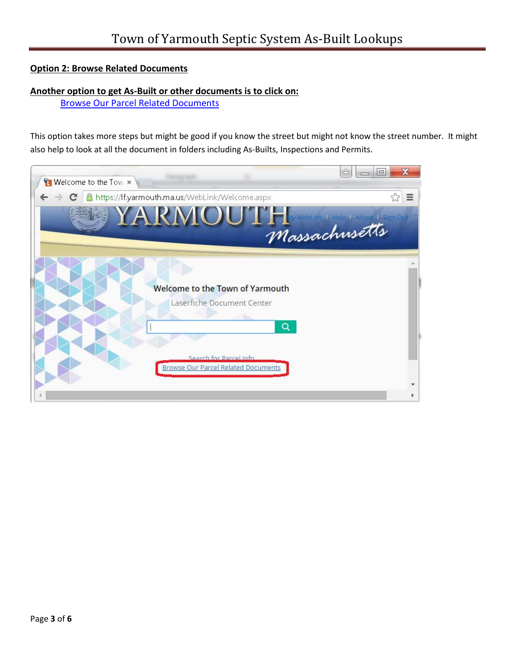## **Option 2: Browse Related Documents**

## **Another option to get As-Built or other documents is to click on:**

[Browse Our Parcel Related Documents](https://lf.yarmouth.ma.us/WebLink/Browse.aspx?startid=904379)

This option takes more steps but might be good if you know the street but might not know the street number. It might also help to look at all the document in folders including As-Builts, Inspections and Permits.

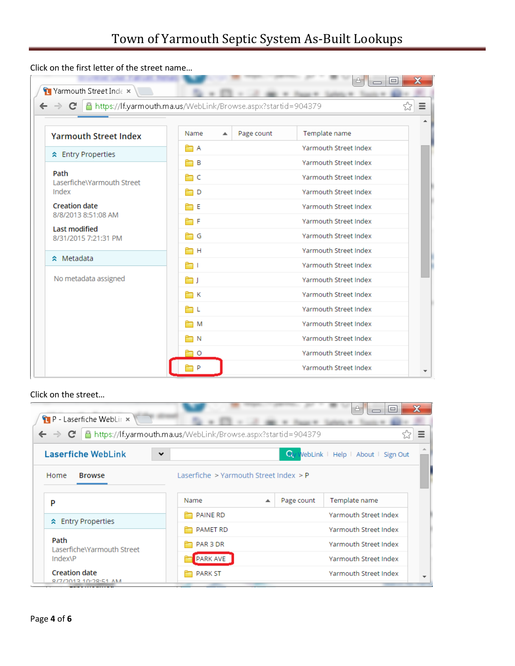Click on the first letter of the street name…

| C<br>$\leftarrow$ $\rightarrow$              | https://lf.yarmouth.ma.us/WebLink/Browse.aspx?startid=904379 |                 |                       | ☆ |
|----------------------------------------------|--------------------------------------------------------------|-----------------|-----------------------|---|
| <b>Yarmouth Street Index</b>                 | Name                                                         | Page count<br>ዹ | Template name         |   |
| ☆ Entry Properties                           | F A                                                          |                 | Yarmouth Street Index |   |
|                                              | ÊПВ                                                          |                 | Yarmouth Street Index |   |
| Path<br>Laserfiche\Yarmouth Street           | m c                                                          |                 | Yarmouth Street Index |   |
| Index                                        | n d                                                          |                 | Yarmouth Street Index |   |
| <b>Creation date</b>                         | ÊΠΕ                                                          |                 | Yarmouth Street Index |   |
| 8/8/2013 8:51:08 AM                          | Ħ۴                                                           |                 | Yarmouth Street Index |   |
| <b>Last modified</b><br>8/31/2015 7:21:31 PM | ÈΠG                                                          |                 | Yarmouth Street Index |   |
|                                              | ÈН                                                           |                 | Yarmouth Street Index |   |
| ☆ Metadata                                   | ا ڪ                                                          |                 | Yarmouth Street Index |   |
| No metadata assigned                         | ر ص                                                          |                 | Yarmouth Street Index |   |
|                                              | ÈΠK                                                          |                 | Yarmouth Street Index |   |
|                                              | m L                                                          |                 | Yarmouth Street Index |   |
|                                              | n M                                                          |                 | Yarmouth Street Index |   |
|                                              |                                                              |                 |                       |   |

Click on the street…

| $\mathbf{P}$ - Laserfiche WebLir $\times$                                                                        |                                            |     | 쓰                                 | $\mathbf x$<br>$=$    |  |  |
|------------------------------------------------------------------------------------------------------------------|--------------------------------------------|-----|-----------------------------------|-----------------------|--|--|
| $\leftarrow \rightarrow \mathbf{C} \mid \mathbf{A}$ https://lf.yarmouth.ma.us/WebLink/Browse.aspx?startid=904379 |                                            |     |                                   | $\equiv$              |  |  |
| <b>Laserfiche WebLink</b><br>$\checkmark$                                                                        |                                            | Ωv. | WebLink   Help   About   Sign Out |                       |  |  |
| Home<br><b>Browse</b>                                                                                            | Laserfiche $>$ Yarmouth Street Index $>$ P |     |                                   |                       |  |  |
| P                                                                                                                | Name                                       | ᅀ   | Template name<br>Page count       |                       |  |  |
| <b>☆</b> Entry Properties                                                                                        | PAINE RD                                   |     | Yarmouth Street Index             |                       |  |  |
|                                                                                                                  | PAMET RD                                   |     | Yarmouth Street Index             |                       |  |  |
| Path<br>Laserfiche\Yarmouth Street                                                                               | PAR 3 DR                                   |     |                                   | Yarmouth Street Index |  |  |
| Index\P                                                                                                          | <b>PARK AVE</b>                            |     | Yarmouth Street Index             |                       |  |  |
| <b>Creation date</b><br><b>RITIONER 10-28-51 AM</b>                                                              | <b>PARK ST</b>                             |     | Yarmouth Street Index             |                       |  |  |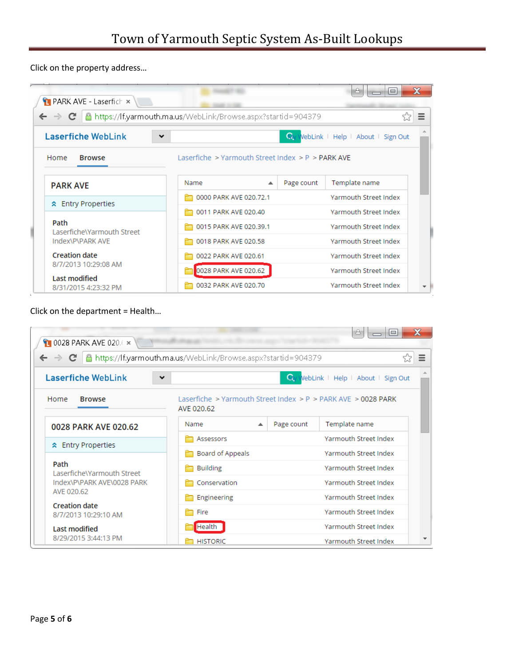Click on the property address…

| PARK AVE - Laserfich x<br>https://lf.yarmouth.ma.us/WebLink/Browse.aspx?startid=904379<br>$\leftarrow$ $\rightarrow$ C |                                                     |                        |            | A<br>$\qquad \qquad \qquad \qquad \Box$ | х<br>$\equiv$ |
|------------------------------------------------------------------------------------------------------------------------|-----------------------------------------------------|------------------------|------------|-----------------------------------------|---------------|
| Laserfiche WebLink<br>$\checkmark$                                                                                     |                                                     |                        |            | Wiv WebLink   Help   About   Sign Out   |               |
| Home<br><b>Browse</b>                                                                                                  | Laserfiche > Yarmouth Street Index > $P$ > PARK AVE |                        |            |                                         |               |
| <b>PARK AVE</b>                                                                                                        | Name                                                | $\blacktriangle$       | Page count | Template name                           |               |
| <b>★ Entry Properties</b>                                                                                              | 0000 PARK AVE 020.72.1                              |                        |            | Yarmouth Street Index                   |               |
|                                                                                                                        | 0011 PARK AVE 020.40                                |                        |            | Yarmouth Street Index                   |               |
| Path<br>Laserfiche\Yarmouth Street<br>Index\P\PARK AVE                                                                 |                                                     | 0015 PARK AVE 020.39.1 |            | <b>Yarmouth Street Index</b>            |               |
|                                                                                                                        | 0018 PARK AVE 020.58                                |                        |            | Yarmouth Street Index                   |               |
| <b>Creation date</b>                                                                                                   | 0022 PARK AVE 020.61                                |                        |            | Yarmouth Street Index                   |               |
| 8/7/2013 10:29:08 AM                                                                                                   | 0028 PARK AVE 020.62                                |                        |            | <b>Yarmouth Street Index</b>            |               |
| Last modified<br>8/31/2015 4:23:32 PM                                                                                  | 0032 PARK AVE 020.70                                |                        |            | <b>Yarmouth Street Index</b>            |               |

Click on the department = Health…

| 10028 PARK AVE 020.6 x                                                                                           |                                                                             |                              | o l                   | $\bf{x}$      |  |
|------------------------------------------------------------------------------------------------------------------|-----------------------------------------------------------------------------|------------------------------|-----------------------|---------------|--|
| $\leftarrow \rightarrow \mathbf{C} \mid \mathbf{A}$ https://lf.yarmouth.ma.us/WebLink/Browse.aspx?startid=904379 |                                                                             |                              |                       | ☆<br>$\equiv$ |  |
| <b>Laserfiche WebLink</b><br>VebLink   Help   About   Sign Out<br>Wv:<br>$\checkmark$                            |                                                                             |                              |                       |               |  |
| Home<br><b>Browse</b>                                                                                            | Laserfiche > Yarmouth Street Index > P > PARK AVE > 0028 PARK<br>AVE 020.62 |                              |                       |               |  |
| 0028 PARK AVE 020.62                                                                                             | Name<br>ᇫ                                                                   | Page count                   | Template name         |               |  |
| ☆ Entry Properties                                                                                               | Assessors                                                                   |                              | Yarmouth Street Index |               |  |
|                                                                                                                  | Board of Appeals                                                            | Yarmouth Street Index        |                       |               |  |
| Path<br>Laserfiche\Yarmouth Street                                                                               | <b>Building</b>                                                             | Yarmouth Street Index        |                       |               |  |
| Index\P\PARK AVE\0028 PARK                                                                                       | Conservation                                                                | <b>Yarmouth Street Index</b> |                       |               |  |
| AVE 020.62                                                                                                       | Engineering                                                                 |                              | Yarmouth Street Index |               |  |
| <b>Creation date</b><br>8/7/2013 10:29:10 AM                                                                     | Fire                                                                        |                              | Yarmouth Street Index |               |  |
| <b>Last modified</b>                                                                                             | Health                                                                      |                              | Yarmouth Street Index |               |  |
| 8/29/2015 3:44:13 PM                                                                                             | <b>HISTORIC</b>                                                             |                              | Yarmouth Street Index |               |  |